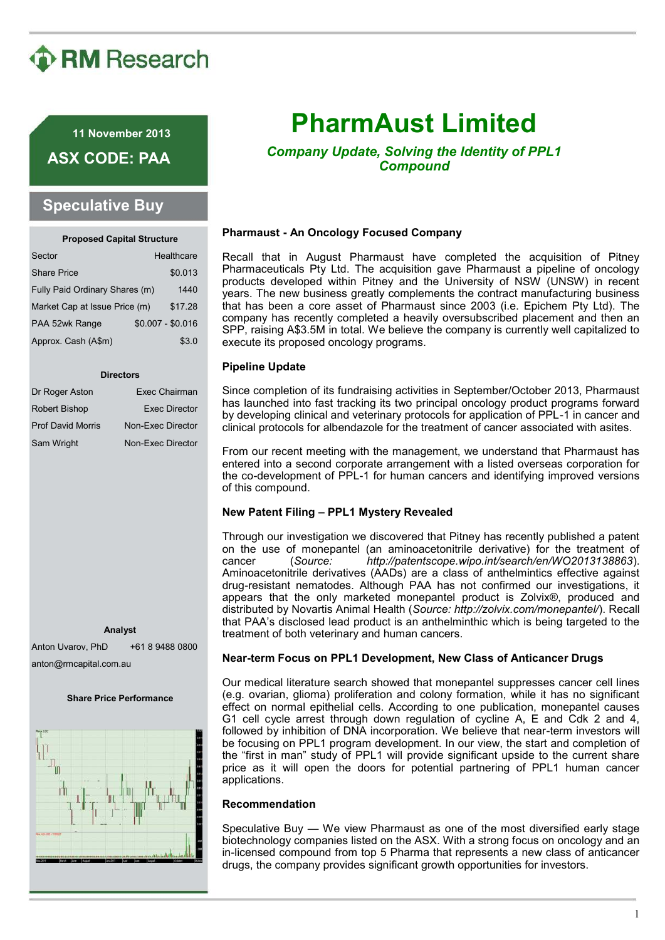# **D** RM Research

**11 November 2013**

**ASX CODE: PAA**

## **Speculative Buy**

| <b>Proposed Capital Structure</b> |  |                   |
|-----------------------------------|--|-------------------|
| Sector                            |  | Healthcare        |
| <b>Share Price</b>                |  | \$0.013           |
| Fully Paid Ordinary Shares (m)    |  | 1440              |
| Market Cap at Issue Price (m)     |  | \$17.28           |
| PAA 52wk Range                    |  | $$0.007 - $0.016$ |
| Approx. Cash (A\$m)               |  | \$3.0             |

#### **Directors**

| Dr Roger Aston           | Exec Chairman        |
|--------------------------|----------------------|
| <b>Robert Bishop</b>     | <b>Exec Director</b> |
| <b>Prof David Morris</b> | Non-Exec Director    |
| Sam Wright               | Non-Exec Director    |

**Analyst**

Anton Uvarov, PhD +61 8 9488 0800 anton@rmcapital.com.au

#### **Share Price Performance**



# **PharmAust Limited**

*Company Update, Solving the Identity of PPL1 Compound*

## **Pharmaust - An Oncology Focused Company**

Recall that in August Pharmaust have completed the acquisition of Pitney Pharmaceuticals Pty Ltd. The acquisition gave Pharmaust a pipeline of oncology products developed within Pitney and the University of NSW (UNSW) in recent years. The new business greatly complements the contract manufacturing business that has been a core asset of Pharmaust since 2003 (i.e. Epichem Pty Ltd). The company has recently completed a heavily oversubscribed placement and then an SPP, raising A\$3.5M in total. We believe the company is currently well capitalized to execute its proposed oncology programs.

## **Pipeline Update**

Since completion of its fundraising activities in September/October 2013, Pharmaust has launched into fast tracking its two principal oncology product programs forward by developing clinical and veterinary protocols for application of PPL-1 in cancer and clinical protocols for albendazole for the treatment of cancer associated with asites.

From our recent meeting with the management, we understand that Pharmaust has entered into a second corporate arrangement with a listed overseas corporation for the co-development of PPL-1 for human cancers and identifying improved versions of this compound.

## **New Patent Filing – PPL1 Mystery Revealed**

Through our investigation we discovered that Pitney has recently published a patent on the use of monepantel (an aminoacetonitrile derivative) for the treatment of cancer (*Source: http://patentscope.wipo.int/search/en/WO2013138863*). Aminoacetonitrile derivatives (AADs) are a class of anthelmintics effective against drug-resistant nematodes. Although PAA has not confirmed our investigations, it appears that the only marketed monepantel product is Zolvix®, produced and distributed by Novartis Animal Health (*Source: http://zolvix.com/monepantel/*). Recall that PAA's disclosed lead product is an anthelminthic which is being targeted to the treatment of both veterinary and human cancers.

## **Near-term Focus on PPL1 Development, New Class of Anticancer Drugs**

Our medical literature search showed that monepantel suppresses cancer cell lines (e.g. ovarian, glioma) proliferation and colony formation, while it has no significant effect on normal epithelial cells. According to one publication, monepantel causes G1 cell cycle arrest through down regulation of cycline A, E and Cdk 2 and 4, followed by inhibition of DNA incorporation. We believe that near-term investors will be focusing on PPL1 program development. In our view, the start and completion of the "first in man" study of PPL1 will provide significant upside to the current share price as it will open the doors for potential partnering of PPL1 human cancer applications.

### **Recommendation**

Speculative Buy — We view Pharmaust as one of the most diversified early stage biotechnology companies listed on the ASX. With a strong focus on oncology and an in-licensed compound from top 5 Pharma that represents a new class of anticancer drugs, the company provides significant growth opportunities for investors.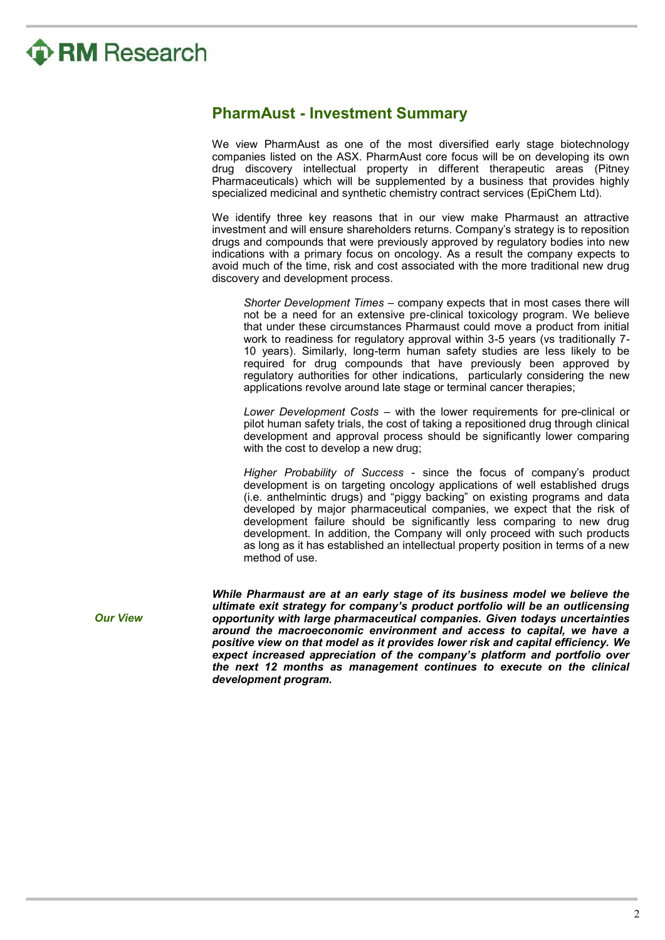# **P RM** Research

## **PharmAust - Investment Summary**

We view PharmAust as one of the most diversified early stage biotechnology companies listed on the ASX. PharmAust core focus will be on developing its own drug discovery intellectual property in different therapeutic areas (Pitney Pharmaceuticals) which will be supplemented by a business that provides highly specialized medicinal and synthetic chemistry contract services (EpiChem Ltd).

We identify three key reasons that in our view make Pharmaust an attractive investment and will ensure shareholders returns. Company's strategy is to reposition drugs and compounds that were previously approved by regulatory bodies into new indications with a primary focus on oncology. As a result the company expects to avoid much of the time, risk and cost associated with the more traditional new drug discovery and development process.

*Shorter Development Times* – company expects that in most cases there will not be a need for an extensive pre-clinical toxicology program. We believe that under these circumstances Pharmaust could move a product from initial work to readiness for regulatory approval within 3-5 years (vs traditionally 7- 10 years). Similarly, long-term human safety studies are less likely to be required for drug compounds that have previously been approved by regulatory authorities for other indications, particularly considering the new applications revolve around late stage or terminal cancer therapies;

*Lower Development Costs* – with the lower requirements for pre-clinical or pilot human safety trials, the cost of taking a repositioned drug through clinical development and approval process should be significantly lower comparing with the cost to develop a new drug;

*Higher Probability of Success* - since the focus of company's product development is on targeting oncology applications of well established drugs (i.e. anthelmintic drugs) and "piggy backing" on existing programs and data developed by major pharmaceutical companies, we expect that the risk of development failure should be significantly less comparing to new drug development. In addition, the Company will only proceed with such products as long as it has established an intellectual property position in terms of a new method of use.

*While Pharmaust are at an early stage of its business model we believe the ultimate exit strategy for company's product portfolio will be an outlicensing opportunity with large pharmaceutical companies. Given todays uncertainties around the macroeconomic environment and access to capital, we have a positive view on that model as it provides lower risk and capital efficiency. We expect increased appreciation of the company's platform and portfolio over the next 12 months as management continues to execute on the clinical development program.*

*Our View*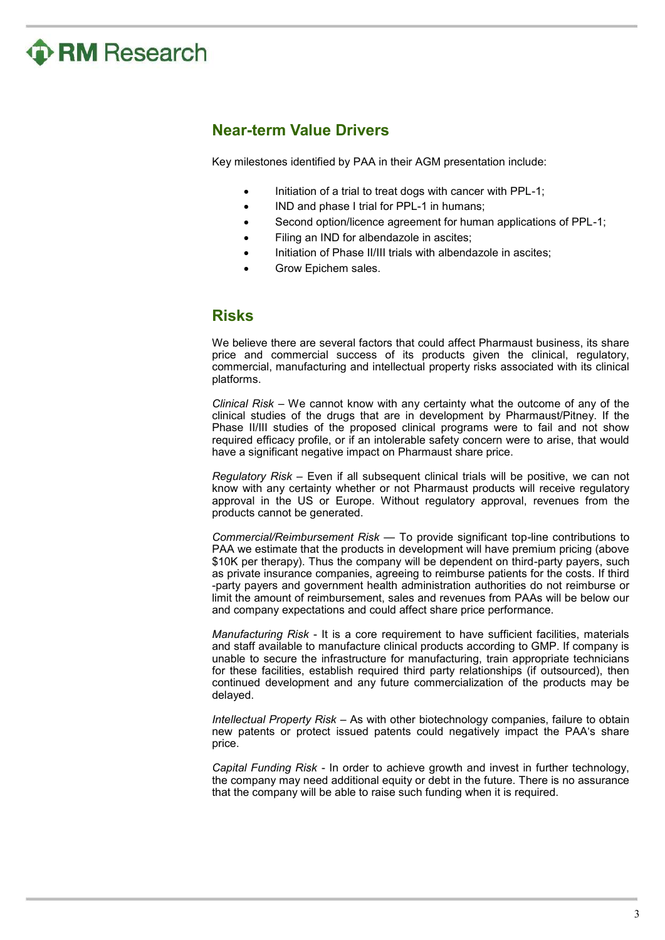

## **Near-term Value Drivers**

Key milestones identified by PAA in their AGM presentation include:

- Initiation of a trial to treat dogs with cancer with PPL-1;
- IND and phase I trial for PPL-1 in humans:
- Second option/licence agreement for human applications of PPL-1;
- Filing an IND for albendazole in ascites;
- Initiation of Phase II/III trials with albendazole in ascites:
- Grow Epichem sales.

## **Risks**

We believe there are several factors that could affect Pharmaust business, its share price and commercial success of its products given the clinical, regulatory, commercial, manufacturing and intellectual property risks associated with its clinical platforms.

*Clinical Risk* – We cannot know with any certainty what the outcome of any of the clinical studies of the drugs that are in development by Pharmaust/Pitney. If the Phase II/III studies of the proposed clinical programs were to fail and not show required efficacy profile, or if an intolerable safety concern were to arise, that would have a significant negative impact on Pharmaust share price.

*Regulatory Risk* – Even if all subsequent clinical trials will be positive, we can not know with any certainty whether or not Pharmaust products will receive regulatory approval in the US or Europe. Without regulatory approval, revenues from the products cannot be generated.

*Commercial/Reimbursement Risk* — To provide significant top-line contributions to PAA we estimate that the products in development will have premium pricing (above \$10K per therapy). Thus the company will be dependent on third-party payers, such as private insurance companies, agreeing to reimburse patients for the costs. If third -party payers and government health administration authorities do not reimburse or limit the amount of reimbursement, sales and revenues from PAAs will be below our and company expectations and could affect share price performance.

*Manufacturing Risk* - It is a core requirement to have sufficient facilities, materials and staff available to manufacture clinical products according to GMP. If company is unable to secure the infrastructure for manufacturing, train appropriate technicians for these facilities, establish required third party relationships (if outsourced), then continued development and any future commercialization of the products may be delayed.

*Intellectual Property Risk* – As with other biotechnology companies, failure to obtain new patents or protect issued patents could negatively impact the PAA's share price.

*Capital Funding Risk* - In order to achieve growth and invest in further technology, the company may need additional equity or debt in the future. There is no assurance that the company will be able to raise such funding when it is required.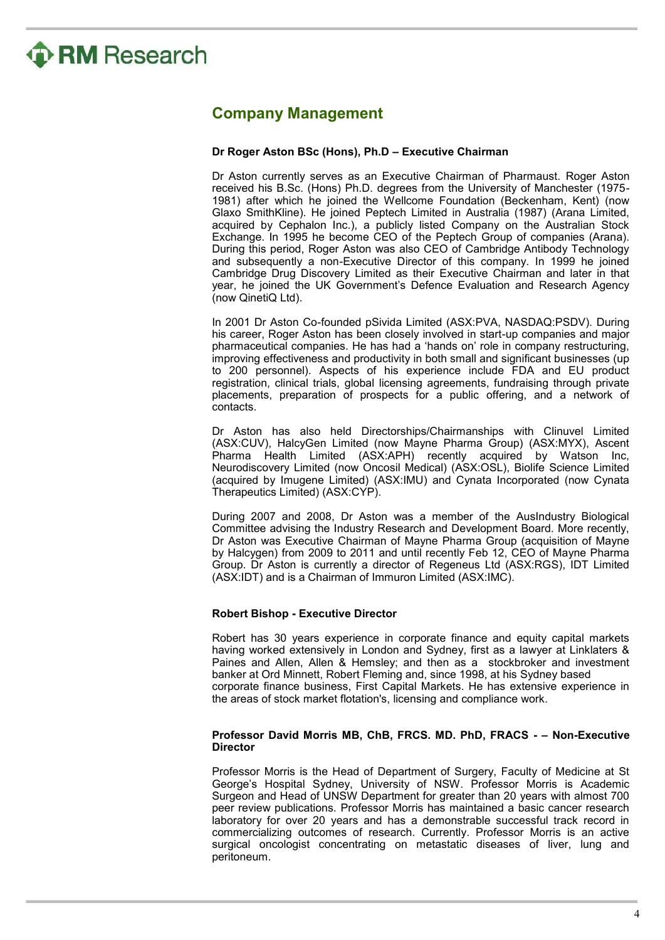

## **Company Management**

#### **Dr Roger Aston BSc (Hons), Ph.D – Executive Chairman**

Dr Aston currently serves as an Executive Chairman of Pharmaust. Roger Aston received his B.Sc. (Hons) Ph.D. degrees from the University of Manchester (1975- 1981) after which he joined the Wellcome Foundation (Beckenham, Kent) (now Glaxo SmithKline). He joined Peptech Limited in Australia (1987) (Arana Limited, acquired by Cephalon Inc.), a publicly listed Company on the Australian Stock Exchange. In 1995 he become CEO of the Peptech Group of companies (Arana). During this period, Roger Aston was also CEO of Cambridge Antibody Technology and subsequently a non-Executive Director of this company. In 1999 he joined Cambridge Drug Discovery Limited as their Executive Chairman and later in that year, he joined the UK Government's Defence Evaluation and Research Agency (now QinetiQ Ltd).

In 2001 Dr Aston Co-founded pSivida Limited (ASX:PVA, NASDAQ:PSDV). During his career, Roger Aston has been closely involved in start-up companies and major pharmaceutical companies. He has had a 'hands on' role in company restructuring, improving effectiveness and productivity in both small and significant businesses (up to 200 personnel). Aspects of his experience include FDA and EU product registration, clinical trials, global licensing agreements, fundraising through private placements, preparation of prospects for a public offering, and a network of contacts.

Dr Aston has also held Directorships/Chairmanships with Clinuvel Limited (ASX:CUV), HalcyGen Limited (now Mayne Pharma Group) (ASX:MYX), Ascent Pharma Health Limited (ASX:APH) recently acquired by Watson Inc, Neurodiscovery Limited (now Oncosil Medical) (ASX:OSL), Biolife Science Limited (acquired by Imugene Limited) (ASX:IMU) and Cynata Incorporated (now Cynata Therapeutics Limited) (ASX:CYP).

During 2007 and 2008, Dr Aston was a member of the AusIndustry Biological Committee advising the Industry Research and Development Board. More recently, Dr Aston was Executive Chairman of Mayne Pharma Group (acquisition of Mayne by Halcygen) from 2009 to 2011 and until recently Feb 12, CEO of Mayne Pharma Group. Dr Aston is currently a director of Regeneus Ltd (ASX:RGS), IDT Limited (ASX:IDT) and is a Chairman of Immuron Limited (ASX:IMC).

### **Robert Bishop - Executive Director**

Robert has 30 years experience in corporate finance and equity capital markets having worked extensively in London and Sydney, first as a lawyer at Linklaters & Paines and Allen, Allen & Hemsley; and then as a stockbroker and investment banker at Ord Minnett, Robert Fleming and, since 1998, at his Sydney based corporate finance business, First Capital Markets. He has extensive experience in the areas of stock market flotation's, licensing and compliance work.

#### **Professor David Morris MB, ChB, FRCS. MD. PhD, FRACS - – Non-Executive Director**

Professor Morris is the Head of Department of Surgery, Faculty of Medicine at St George's Hospital Sydney, University of NSW. Professor Morris is Academic Surgeon and Head of UNSW Department for greater than 20 years with almost 700 peer review publications. Professor Morris has maintained a basic cancer research laboratory for over 20 years and has a demonstrable successful track record in commercializing outcomes of research. Currently. Professor Morris is an active surgical oncologist concentrating on metastatic diseases of liver, lung and peritoneum.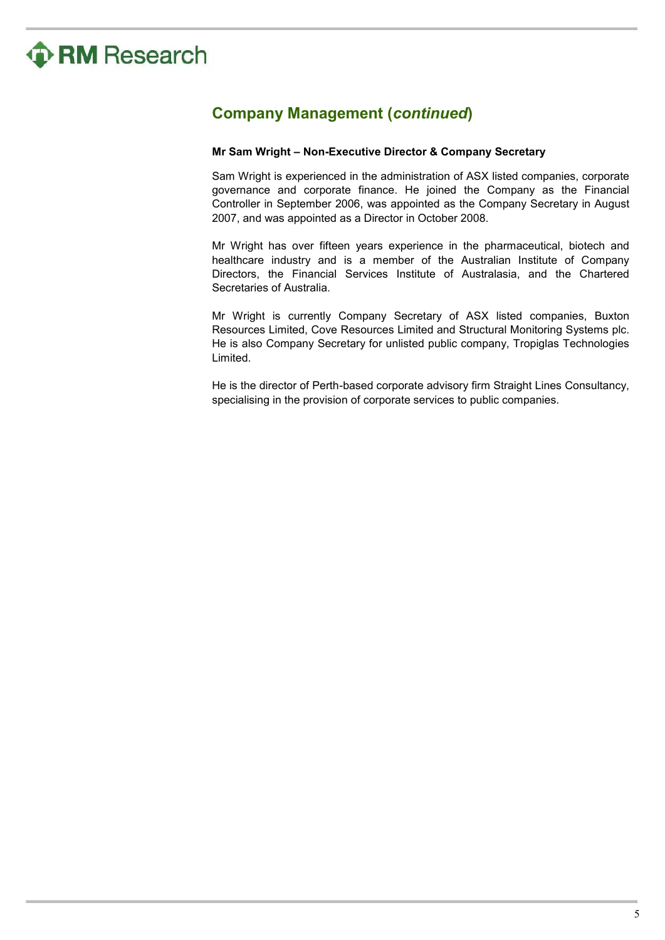

# **Company Management (***continued***)**

### **Mr Sam Wright – Non-Executive Director & Company Secretary**

Sam Wright is experienced in the administration of ASX listed companies, corporate governance and corporate finance. He joined the Company as the Financial Controller in September 2006, was appointed as the Company Secretary in August 2007, and was appointed as a Director in October 2008.

Mr Wright has over fifteen years experience in the pharmaceutical, biotech and healthcare industry and is a member of the Australian Institute of Company Directors, the Financial Services Institute of Australasia, and the Chartered Secretaries of Australia.

Mr Wright is currently Company Secretary of ASX listed companies, Buxton Resources Limited, Cove Resources Limited and Structural Monitoring Systems plc. He is also Company Secretary for unlisted public company, Tropiglas Technologies Limited.

He is the director of Perth-based corporate advisory firm Straight Lines Consultancy, specialising in the provision of corporate services to public companies.